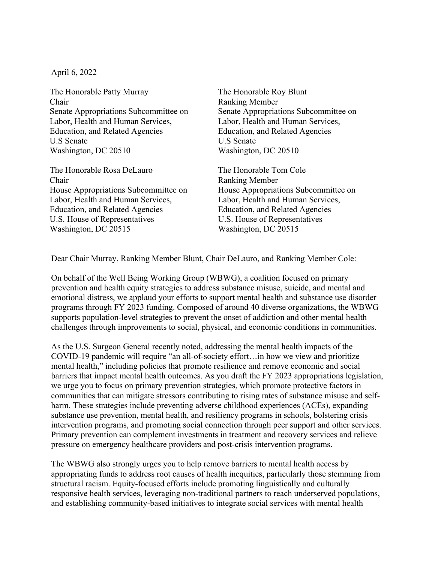April 6, 2022

The Honorable Patty Murray Chair Senate Appropriations Subcommittee on Labor, Health and Human Services, Education, and Related Agencies U.S Senate Washington, DC 20510

The Honorable Rosa DeLauro Chair House Appropriations Subcommittee on Labor, Health and Human Services, Education, and Related Agencies U.S. House of Representatives Washington, DC 20515

The Honorable Roy Blunt Ranking Member Senate Appropriations Subcommittee on Labor, Health and Human Services, Education, and Related Agencies U.S Senate Washington, DC 20510

The Honorable Tom Cole Ranking Member House Appropriations Subcommittee on Labor, Health and Human Services, Education, and Related Agencies U.S. House of Representatives Washington, DC 20515

Dear Chair Murray, Ranking Member Blunt, Chair DeLauro, and Ranking Member Cole:

On behalf of the Well Being Working Group (WBWG), a coalition focused on primary prevention and health equity strategies to address substance misuse, suicide, and mental and emotional distress, we applaud your efforts to support mental health and substance use disorder programs through FY 2023 funding. Composed of around 40 diverse organizations, the WBWG supports population-level strategies to prevent the onset of addiction and other mental health challenges through improvements to social, physical, and economic conditions in communities.

As the U.S. Surgeon General recently noted, addressing the mental health impacts of the COVID-19 pandemic will require "an all-of-society effort…in how we view and prioritize mental health," including policies that promote resilience and remove economic and social barriers that impact mental health outcomes. As you draft the FY 2023 appropriations legislation, we urge you to focus on primary prevention strategies, which promote protective factors in communities that can mitigate stressors contributing to rising rates of substance misuse and selfharm. These strategies include preventing adverse childhood experiences (ACEs), expanding substance use prevention, mental health, and resiliency programs in schools, bolstering crisis intervention programs, and promoting social connection through peer support and other services. Primary prevention can complement investments in treatment and recovery services and relieve pressure on emergency healthcare providers and post-crisis intervention programs.

The WBWG also strongly urges you to help remove barriers to mental health access by appropriating funds to address root causes of health inequities, particularly those stemming from structural racism. Equity-focused efforts include promoting linguistically and culturally responsive health services, leveraging non-traditional partners to reach underserved populations, and establishing community-based initiatives to integrate social services with mental health